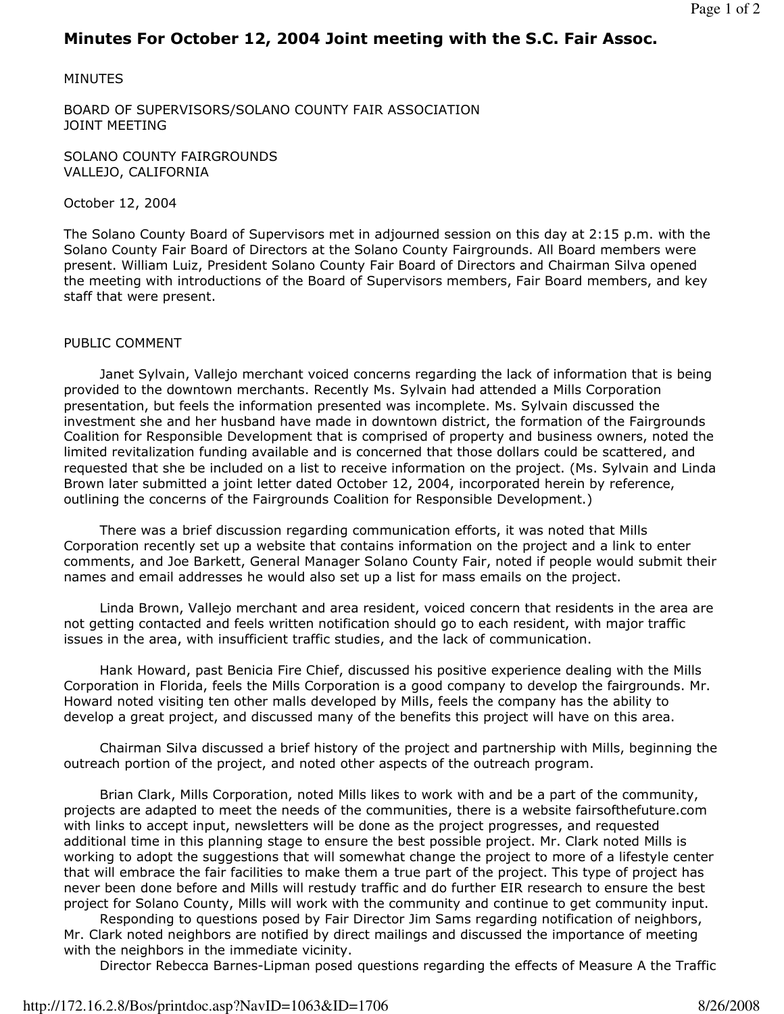## Minutes For October 12, 2004 Joint meeting with the S.C. Fair Assoc.

MINUTES

BOARD OF SUPERVISORS/SOLANO COUNTY FAIR ASSOCIATION JOINT MEETING

SOLANO COUNTY FAIRGROUNDS VALLEJO, CALIFORNIA

October 12, 2004

The Solano County Board of Supervisors met in adjourned session on this day at 2:15 p.m. with the Solano County Fair Board of Directors at the Solano County Fairgrounds. All Board members were present. William Luiz, President Solano County Fair Board of Directors and Chairman Silva opened the meeting with introductions of the Board of Supervisors members, Fair Board members, and key staff that were present.

## PUBLIC COMMENT

 Janet Sylvain, Vallejo merchant voiced concerns regarding the lack of information that is being provided to the downtown merchants. Recently Ms. Sylvain had attended a Mills Corporation presentation, but feels the information presented was incomplete. Ms. Sylvain discussed the investment she and her husband have made in downtown district, the formation of the Fairgrounds Coalition for Responsible Development that is comprised of property and business owners, noted the limited revitalization funding available and is concerned that those dollars could be scattered, and requested that she be included on a list to receive information on the project. (Ms. Sylvain and Linda Brown later submitted a joint letter dated October 12, 2004, incorporated herein by reference, outlining the concerns of the Fairgrounds Coalition for Responsible Development.)

 There was a brief discussion regarding communication efforts, it was noted that Mills Corporation recently set up a website that contains information on the project and a link to enter comments, and Joe Barkett, General Manager Solano County Fair, noted if people would submit their names and email addresses he would also set up a list for mass emails on the project.

 Linda Brown, Vallejo merchant and area resident, voiced concern that residents in the area are not getting contacted and feels written notification should go to each resident, with major traffic issues in the area, with insufficient traffic studies, and the lack of communication.

 Hank Howard, past Benicia Fire Chief, discussed his positive experience dealing with the Mills Corporation in Florida, feels the Mills Corporation is a good company to develop the fairgrounds. Mr. Howard noted visiting ten other malls developed by Mills, feels the company has the ability to develop a great project, and discussed many of the benefits this project will have on this area.

 Chairman Silva discussed a brief history of the project and partnership with Mills, beginning the outreach portion of the project, and noted other aspects of the outreach program.

 Brian Clark, Mills Corporation, noted Mills likes to work with and be a part of the community, projects are adapted to meet the needs of the communities, there is a website fairsofthefuture.com with links to accept input, newsletters will be done as the project progresses, and requested additional time in this planning stage to ensure the best possible project. Mr. Clark noted Mills is working to adopt the suggestions that will somewhat change the project to more of a lifestyle center that will embrace the fair facilities to make them a true part of the project. This type of project has never been done before and Mills will restudy traffic and do further EIR research to ensure the best project for Solano County, Mills will work with the community and continue to get community input.

 Responding to questions posed by Fair Director Jim Sams regarding notification of neighbors, Mr. Clark noted neighbors are notified by direct mailings and discussed the importance of meeting with the neighbors in the immediate vicinity.

Director Rebecca Barnes-Lipman posed questions regarding the effects of Measure A the Traffic